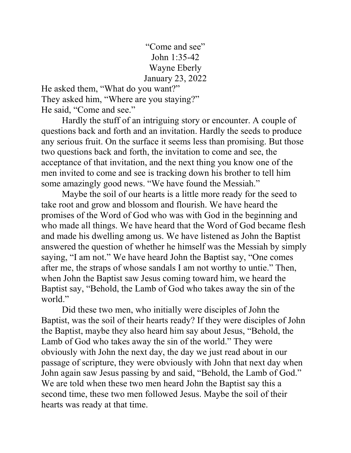"Come and see" John 1:35-42 Wayne Eberly January 23, 2022

He asked them, "What do you want?" They asked him, "Where are you staying?" He said, "Come and see."

 Hardly the stuff of an intriguing story or encounter. A couple of questions back and forth and an invitation. Hardly the seeds to produce any serious fruit. On the surface it seems less than promising. But those two questions back and forth, the invitation to come and see, the acceptance of that invitation, and the next thing you know one of the men invited to come and see is tracking down his brother to tell him some amazingly good news. "We have found the Messiah."

 Maybe the soil of our hearts is a little more ready for the seed to take root and grow and blossom and flourish. We have heard the promises of the Word of God who was with God in the beginning and who made all things. We have heard that the Word of God became flesh and made his dwelling among us. We have listened as John the Baptist answered the question of whether he himself was the Messiah by simply saying, "I am not." We have heard John the Baptist say, "One comes after me, the straps of whose sandals I am not worthy to untie." Then, when John the Baptist saw Jesus coming toward him, we heard the Baptist say, "Behold, the Lamb of God who takes away the sin of the world."

 Did these two men, who initially were disciples of John the Baptist, was the soil of their hearts ready? If they were disciples of John the Baptist, maybe they also heard him say about Jesus, "Behold, the Lamb of God who takes away the sin of the world." They were obviously with John the next day, the day we just read about in our passage of scripture, they were obviously with John that next day when John again saw Jesus passing by and said, "Behold, the Lamb of God." We are told when these two men heard John the Baptist say this a second time, these two men followed Jesus. Maybe the soil of their hearts was ready at that time.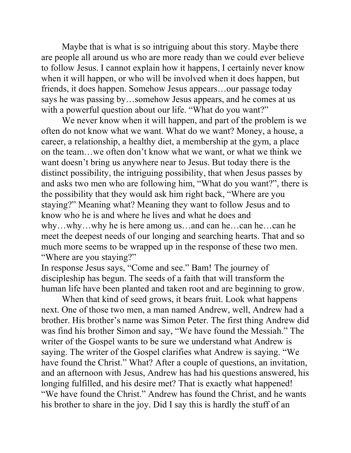Maybe that is what is so intriguing about this story. Maybe there are people all around us who are more ready than we could ever believe to follow Jesus. I cannot explain how it happens, I certainly never know when it will happen, or who will be involved when it does happen, but friends, it does happen. Somehow Jesus appears…our passage today says he was passing by…somehow Jesus appears, and he comes at us with a powerful question about our life. "What do you want?"

 We never know when it will happen, and part of the problem is we often do not know what we want. What do we want? Money, a house, a career, a relationship, a healthy diet, a membership at the gym, a place on the team…we often don't know what we want, or what we think we want doesn't bring us anywhere near to Jesus. But today there is the distinct possibility, the intriguing possibility, that when Jesus passes by and asks two men who are following him, "What do you want?", there is the possibility that they would ask him right back, "Where are you staying?" Meaning what? Meaning they want to follow Jesus and to know who he is and where he lives and what he does and why…why…why he is here among us…and can he…can he…can he meet the deepest needs of our longing and searching hearts. That and so much more seems to be wrapped up in the response of these two men. "Where are you staying?"

In response Jesus says, "Come and see." Bam! The journey of discipleship has begun. The seeds of a faith that will transform the human life have been planted and taken root and are beginning to grow.

 When that kind of seed grows, it bears fruit. Look what happens next. One of those two men, a man named Andrew, well, Andrew had a brother. His brother's name was Simon Peter. The first thing Andrew did was find his brother Simon and say, "We have found the Messiah." The writer of the Gospel wants to be sure we understand what Andrew is saying. The writer of the Gospel clarifies what Andrew is saying. "We have found the Christ." What? After a couple of questions, an invitation, and an afternoon with Jesus, Andrew has had his questions answered, his longing fulfilled, and his desire met? That is exactly what happened! "We have found the Christ." Andrew has found the Christ, and he wants his brother to share in the joy. Did I say this is hardly the stuff of an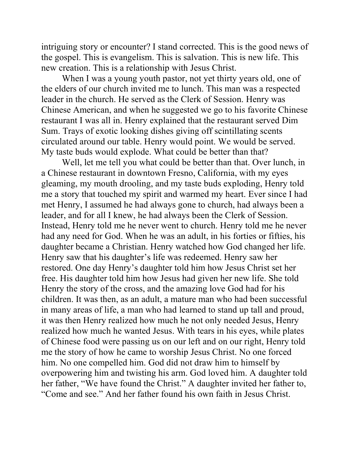intriguing story or encounter? I stand corrected. This is the good news of the gospel. This is evangelism. This is salvation. This is new life. This new creation. This is a relationship with Jesus Christ.

When I was a young youth pastor, not yet thirty years old, one of the elders of our church invited me to lunch. This man was a respected leader in the church. He served as the Clerk of Session. Henry was Chinese American, and when he suggested we go to his favorite Chinese restaurant I was all in. Henry explained that the restaurant served Dim Sum. Trays of exotic looking dishes giving off scintillating scents circulated around our table. Henry would point. We would be served. My taste buds would explode. What could be better than that?

 Well, let me tell you what could be better than that. Over lunch, in a Chinese restaurant in downtown Fresno, California, with my eyes gleaming, my mouth drooling, and my taste buds exploding, Henry told me a story that touched my spirit and warmed my heart. Ever since I had met Henry, I assumed he had always gone to church, had always been a leader, and for all I knew, he had always been the Clerk of Session. Instead, Henry told me he never went to church. Henry told me he never had any need for God. When he was an adult, in his forties or fifties, his daughter became a Christian. Henry watched how God changed her life. Henry saw that his daughter's life was redeemed. Henry saw her restored. One day Henry's daughter told him how Jesus Christ set her free. His daughter told him how Jesus had given her new life. She told Henry the story of the cross, and the amazing love God had for his children. It was then, as an adult, a mature man who had been successful in many areas of life, a man who had learned to stand up tall and proud, it was then Henry realized how much he not only needed Jesus, Henry realized how much he wanted Jesus. With tears in his eyes, while plates of Chinese food were passing us on our left and on our right, Henry told me the story of how he came to worship Jesus Christ. No one forced him. No one compelled him. God did not draw him to himself by overpowering him and twisting his arm. God loved him. A daughter told her father, "We have found the Christ." A daughter invited her father to, "Come and see." And her father found his own faith in Jesus Christ.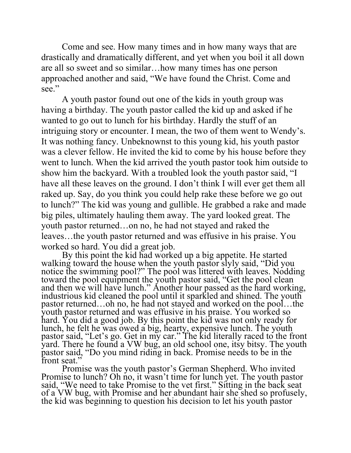Come and see. How many times and in how many ways that are drastically and dramatically different, and yet when you boil it all down are all so sweet and so similar…how many times has one person approached another and said, "We have found the Christ. Come and see."

 A youth pastor found out one of the kids in youth group was having a birthday. The youth pastor called the kid up and asked if he wanted to go out to lunch for his birthday. Hardly the stuff of an intriguing story or encounter. I mean, the two of them went to Wendy's. It was nothing fancy. Unbeknownst to this young kid, his youth pastor was a clever fellow. He invited the kid to come by his house before they went to lunch. When the kid arrived the youth pastor took him outside to show him the backyard. With a troubled look the youth pastor said, "I have all these leaves on the ground. I don't think I will ever get them all raked up. Say, do you think you could help rake these before we go out to lunch?" The kid was young and gullible. He grabbed a rake and made big piles, ultimately hauling them away. The yard looked great. The youth pastor returned…on no, he had not stayed and raked the leaves…the youth pastor returned and was effusive in his praise. You worked so hard. You did a great job.

By this point the kid had worked up a big appetite. He started walking toward the house when the youth pastor slyly said, "Did you notice the swimming pool?" The pool was littered with leaves. Nodding toward the pool equipment the youth pastor said, "Get the pool clean and then we will have lunch." Another hour passed as the hard working, industrious kid cleaned the pool until it sparkled and shined. The youth pastor returned…oh no, he had not stayed and worked on the pool…the youth pastor returned and was effusive in his praise. You worked so hard. You did a good job. By this point the kid was not only ready for lunch, he felt he was owed a big, hearty, expensive lunch. The youth pastor said, "Let's go. Get in my car." The kid literally raced to the front yard. There he found a VW bug, an old school one, itsy bitsy. The youth pastor said, "Do you mind riding in back. Promise needs to be in the front seat."

Promise was the youth pastor's German Shepherd. Who invited Promise to lunch? Oh no, it wasn't time for lunch yet. The youth pastor said, "We need to take Promise to the vet first." Sitting in the back seat of a VW bug, with Promise and her abundant hair she shed so profusely, the kid was beginning to question his decision to let his youth pastor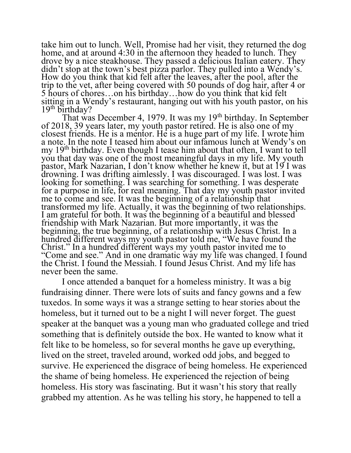take him out to lunch. Well, Promise had her visit, they returned the dog home, and at around 4:30 in the afternoon they headed to lunch. They drove by a nice steakhouse. They passed a delicious Italian eatery. They didn't stop at the town's best pizza parlor. They pulled into a Wendy's. How do you think that kid felt after the leaves, after the pool, after the trip to the vet, after being covered with 50 pounds of dog hair, after 4 or 5 hours of chores…on his birthday…how do you think that kid felt sitting in a Wendy's restaurant, hanging out with his youth pastor, on his  $19<sup>th</sup>$  birthday?

That was December 4, 1979. It was my  $19<sup>th</sup>$  birthday. In September of 2018, 39 years later, my youth pastor retired. He is also one of my closest friends. He is a mentor. He is a huge part of my life. I wrote him a note. In the note I teased him about our infamous lunch at Wendy's on my 19<sup>th</sup> birthday. Even though I tease him about that often, I want to tell you that day was one of the most meaningful days in my life. My youth pastor, Mark Nazarian, I don't know whether he knew it, but at 19 I was drowning. I was drifting aimlessly. I was discouraged. I was lost. I was looking for something. I was searching for something. I was desperate for a purpose in life, for real meaning. That day my youth pastor invited me to come and see. It was the beginning of a relationship that transformed my life. Actually, it was the beginning of two relationships. I am grateful for both. It was the beginning of a beautiful and blessed friendship with Mark Nazarian. But more importantly, it was the beginning, the true beginning, of a relationship with Jesus Christ. In a hundred different ways my youth pastor told me, "We have found the Christ." In a hundred different ways my youth pastor invited me to "Come and see." And in one dramatic way my life was changed. I found the Christ. I found the Messiah. I found Jesus Christ. And my life has never been the same.

I once attended a banquet for a homeless ministry. It was a big fundraising dinner. There were lots of suits and fancy gowns and a few tuxedos. In some ways it was a strange setting to hear stories about the homeless, but it turned out to be a night I will never forget. The guest speaker at the banquet was a young man who graduated college and tried something that is definitely outside the box. He wanted to know what it felt like to be homeless, so for several months he gave up everything, lived on the street, traveled around, worked odd jobs, and begged to survive. He experienced the disgrace of being homeless. He experienced the shame of being homeless. He experienced the rejection of being homeless. His story was fascinating. But it wasn't his story that really grabbed my attention. As he was telling his story, he happened to tell a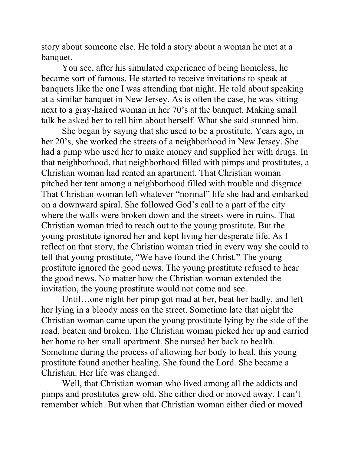story about someone else. He told a story about a woman he met at a banquet.

 You see, after his simulated experience of being homeless, he became sort of famous. He started to receive invitations to speak at banquets like the one I was attending that night. He told about speaking at a similar banquet in New Jersey. As is often the case, he was sitting next to a gray-haired woman in her 70's at the banquet. Making small talk he asked her to tell him about herself. What she said stunned him.

 She began by saying that she used to be a prostitute. Years ago, in her 20's, she worked the streets of a neighborhood in New Jersey. She had a pimp who used her to make money and supplied her with drugs. In that neighborhood, that neighborhood filled with pimps and prostitutes, a Christian woman had rented an apartment. That Christian woman pitched her tent among a neighborhood filled with trouble and disgrace. That Christian woman left whatever "normal" life she had and embarked on a downward spiral. She followed God's call to a part of the city where the walls were broken down and the streets were in ruins. That Christian woman tried to reach out to the young prostitute. But the young prostitute ignored her and kept living her desperate life. As I reflect on that story, the Christian woman tried in every way she could to tell that young prostitute, "We have found the Christ." The young prostitute ignored the good news. The young prostitute refused to hear the good news. No matter how the Christian woman extended the invitation, the young prostitute would not come and see.

 Until…one night her pimp got mad at her, beat her badly, and left her lying in a bloody mess on the street. Sometime late that night the Christian woman came upon the young prostitute lying by the side of the road, beaten and broken. The Christian woman picked her up and carried her home to her small apartment. She nursed her back to health. Sometime during the process of allowing her body to heal, this young prostitute found another healing. She found the Lord. She became a Christian. Her life was changed.

Well, that Christian woman who lived among all the addicts and pimps and prostitutes grew old. She either died or moved away. I can't remember which. But when that Christian woman either died or moved